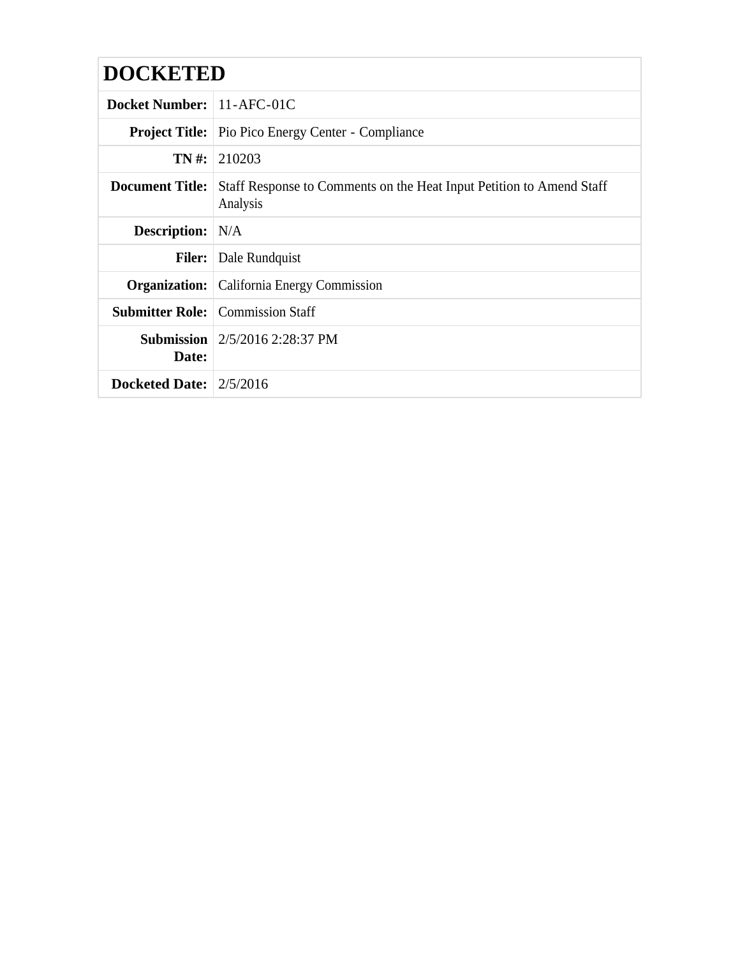# **DOCKETED**

| <b>Docket Number:</b> 11-AFC-01C |                                                                                  |  |
|----------------------------------|----------------------------------------------------------------------------------|--|
|                                  | <b>Project Title:</b> Pio Pico Energy Center - Compliance                        |  |
|                                  | $TN \#: 210203$                                                                  |  |
| <b>Document Title:</b>           | Staff Response to Comments on the Heat Input Petition to Amend Staff<br>Analysis |  |
| <b>Description:</b> N/A          |                                                                                  |  |
| <b>Filer:</b>                    | Dale Rundquist                                                                   |  |
|                                  | <b>Organization:</b> California Energy Commission                                |  |
|                                  | <b>Submitter Role:</b> Commission Staff                                          |  |
| Date:                            | <b>Submission</b> $\left  \frac{2}{5/2016} \right.$ 2:28:37 PM                   |  |
| Docketed Date: $2/5/2016$        |                                                                                  |  |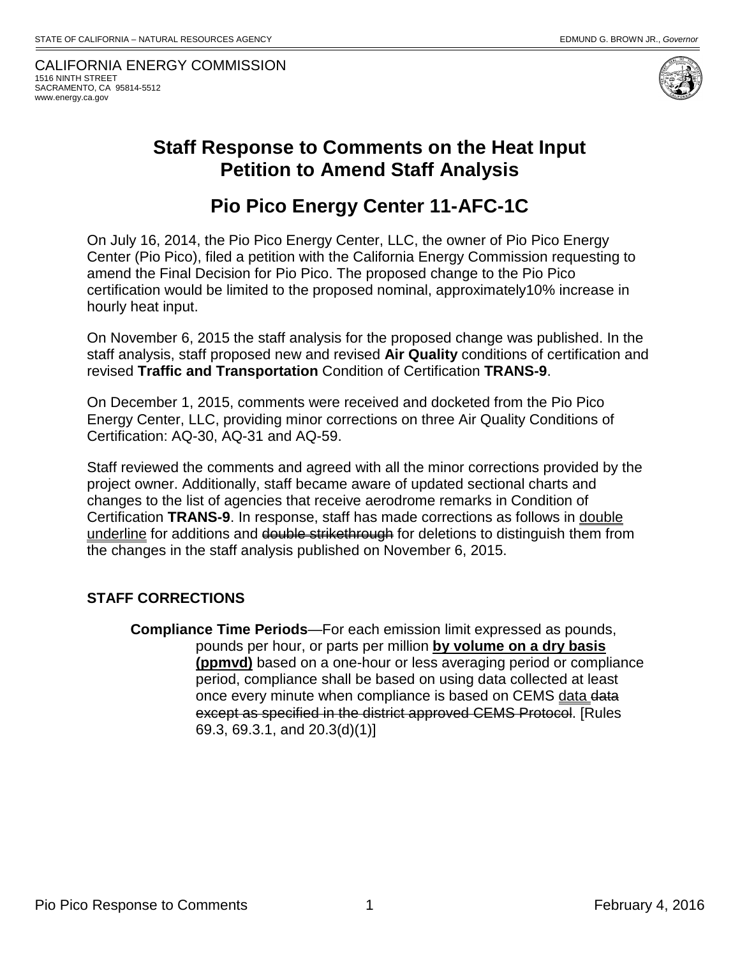CALIFORNIA ENERGY COMMISSION 1516 NINTH STREET SACRAMENTO, CA 95814-5512 www.energy.ca.gov



### **Staff Response to Comments on the Heat Input Petition to Amend Staff Analysis**

## **Pio Pico Energy Center 11-AFC-1C**

On July 16, 2014, the Pio Pico Energy Center, LLC, the owner of Pio Pico Energy Center (Pio Pico), filed a petition with the California Energy Commission requesting to amend the Final Decision for Pio Pico. The proposed change to the Pio Pico certification would be limited to the proposed nominal, approximately10% increase in hourly heat input.

On November 6, 2015 the staff analysis for the proposed change was published. In the staff analysis, staff proposed new and revised **Air Quality** conditions of certification and revised **Traffic and Transportation** Condition of Certification **TRANS-9**.

On December 1, 2015, comments were received and docketed from the Pio Pico Energy Center, LLC, providing minor corrections on three Air Quality Conditions of Certification: AQ-30, AQ-31 and AQ-59.

Staff reviewed the comments and agreed with all the minor corrections provided by the project owner. Additionally, staff became aware of updated sectional charts and changes to the list of agencies that receive aerodrome remarks in Condition of Certification **TRANS-9**. In response, staff has made corrections as follows in double underline for additions and double strikethrough for deletions to distinguish them from the changes in the staff analysis published on November 6, 2015.

#### **STAFF CORRECTIONS**

**Compliance Time Periods**—For each emission limit expressed as pounds, pounds per hour, or parts per million **by volume on a dry basis (ppmvd)** based on a one-hour or less averaging period or compliance period, compliance shall be based on using data collected at least once every minute when compliance is based on CEMS data data except as specified in the district approved CEMS Protocol. [Rules 69.3, 69.3.1, and 20.3(d)(1)]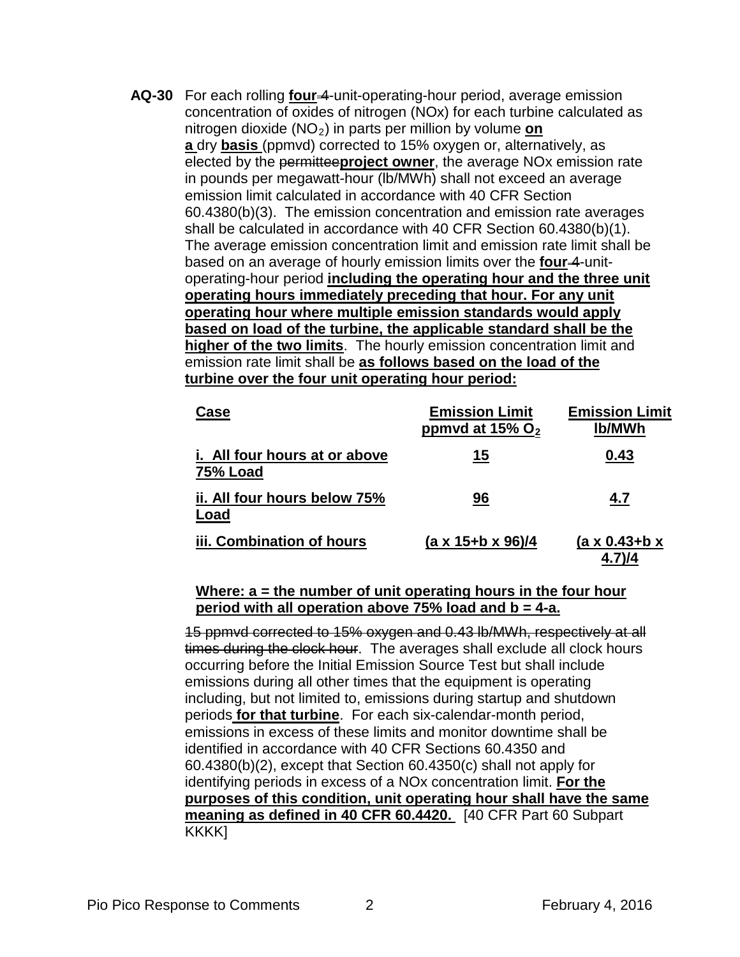**AQ-30** For each rolling **four** 4-unit-operating-hour period, average emission concentration of oxides of nitrogen (NOx) for each turbine calculated as nitrogen dioxide (NO2) in parts per million by volume **on a** dry **basis** (ppmvd) corrected to 15% oxygen or, alternatively, as elected by the permittee**project owner**, the average NOx emission rate in pounds per megawatt-hour (lb/MWh) shall not exceed an average emission limit calculated in accordance with 40 CFR Section 60.4380(b)(3). The emission concentration and emission rate averages shall be calculated in accordance with 40 CFR Section 60.4380(b)(1). The average emission concentration limit and emission rate limit shall be based on an average of hourly emission limits over the **four-4-unit**operating-hour period **including the operating hour and the three unit operating hours immediately preceding that hour. For any unit operating hour where multiple emission standards would apply based on load of the turbine, the applicable standard shall be the higher of the two limits**. The hourly emission concentration limit and emission rate limit shall be **as follows based on the load of the turbine over the four unit operating hour period:**

| Case                                             | <b>Emission Limit</b><br>ppmvd at 15% $O2$ | <b>Emission Limit</b><br><b>Ib/MWh</b> |
|--------------------------------------------------|--------------------------------------------|----------------------------------------|
| i. All four hours at or above<br><b>75% Load</b> | 15                                         | 0.43                                   |
| ii. All four hours below 75%<br>Load             | 96                                         | 4.7                                    |
| iii. Combination of hours                        | (a x 15+b x 96)/4                          | $(a \times 0.43 + b \times$            |

#### **Where: a = the number of unit operating hours in the four hour period with all operation above 75% load and b = 4-a.**

15 ppmvd corrected to 15% oxygen and 0.43 lb/MWh, respectively at all times during the clock hour. The averages shall exclude all clock hours occurring before the Initial Emission Source Test but shall include emissions during all other times that the equipment is operating including, but not limited to, emissions during startup and shutdown periods **for that turbine**. For each six-calendar-month period, emissions in excess of these limits and monitor downtime shall be identified in accordance with 40 CFR Sections 60.4350 and 60.4380(b)(2), except that Section 60.4350(c) shall not apply for identifying periods in excess of a NOx concentration limit. **For the purposes of this condition, unit operating hour shall have the same meaning as defined in 40 CFR 60.4420.** [40 CFR Part 60 Subpart KKKK<sub>I</sub>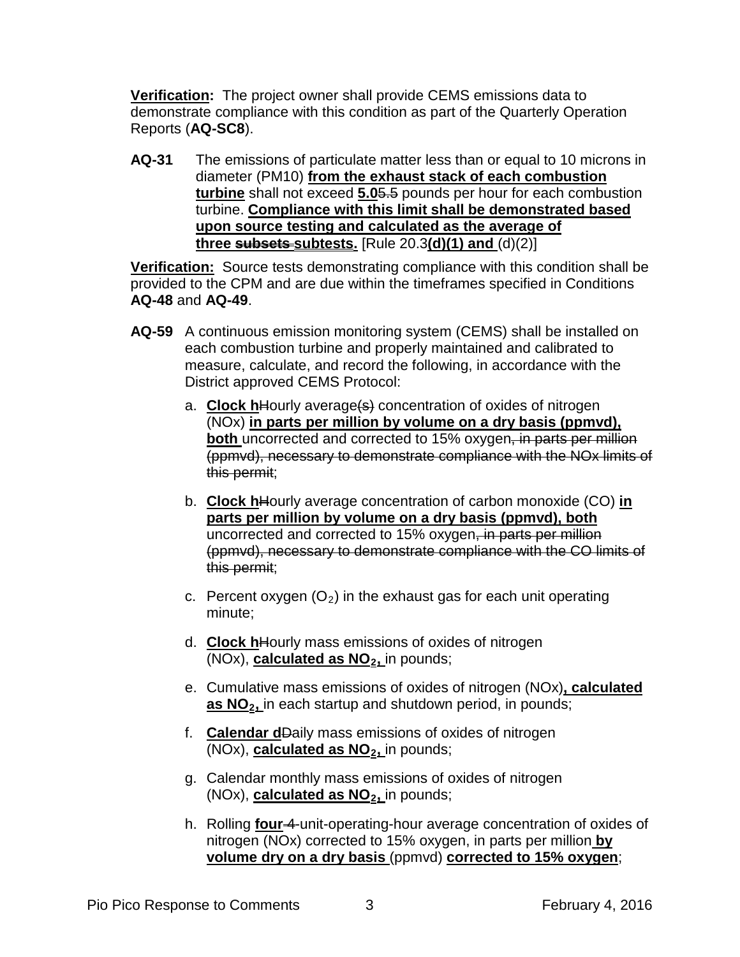**Verification:** The project owner shall provide CEMS emissions data to demonstrate compliance with this condition as part of the Quarterly Operation Reports (**AQ-SC8**).

**AQ-31** The emissions of particulate matter less than or equal to 10 microns in diameter (PM10) **from the exhaust stack of each combustion turbine** shall not exceed **5.0**5.5 pounds per hour for each combustion turbine. **Compliance with this limit shall be demonstrated based upon source testing and calculated as the average of three subsets subtests.** [Rule 20.3**(d)(1) and** (d)(2)]

**Verification:** Source tests demonstrating compliance with this condition shall be provided to the CPM and are due within the timeframes specified in Conditions **AQ-48** and **AQ-49**.

- **AQ-59** A continuous emission monitoring system (CEMS) shall be installed on each combustion turbine and properly maintained and calibrated to measure, calculate, and record the following, in accordance with the District approved CEMS Protocol:
	- a. **Clock h**Hourly average(s) concentration of oxides of nitrogen (NOx) **in parts per million by volume on a dry basis (ppmvd), both** uncorrected and corrected to 15% oxygen, in parts per million (ppmvd), necessary to demonstrate compliance with the NOx limits of this permit;
	- b. **Clock h**Hourly average concentration of carbon monoxide (CO) **in parts per million by volume on a dry basis (ppmvd), both** uncorrected and corrected to 15% oxygen, in parts per million (ppmvd), necessary to demonstrate compliance with the CO limits of this permit;
	- c. Percent oxygen  $(O_2)$  in the exhaust gas for each unit operating minute;
	- d. **Clock h**Hourly mass emissions of oxides of nitrogen (NOx), **calculated as NO<sub>2</sub>**, in pounds;
	- e. Cumulative mass emissions of oxides of nitrogen (NOx)**, calculated**  as NO<sub>2</sub>, in each startup and shutdown period, in pounds;
	- f. **Calendar d**Daily mass emissions of oxides of nitrogen (NOx), **calculated as NO2,** in pounds;
	- g. Calendar monthly mass emissions of oxides of nitrogen (NOx), **calculated as NO<sub>2</sub>**, in pounds;
	- h. Rolling **four** 4-unit-operating-hour average concentration of oxides of nitrogen (NOx) corrected to 15% oxygen, in parts per million **by volume dry on a dry basis** (ppmvd) **corrected to 15% oxygen**;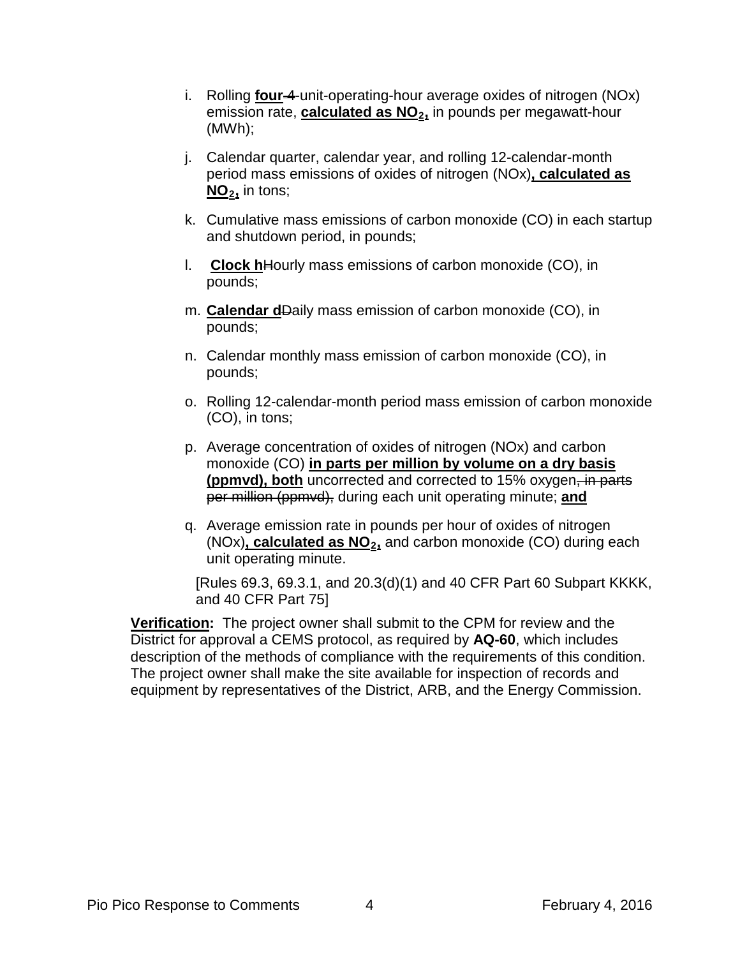- i. Rolling **four-4-unit-operating-hour average oxides of nitrogen (NOx)** emission rate, **calculated as NO<sub>2</sub>**, in pounds per megawatt-hour (MWh);
- j. Calendar quarter, calendar year, and rolling 12-calendar-month period mass emissions of oxides of nitrogen (NOx)**, calculated as NO2,** in tons;
- k. Cumulative mass emissions of carbon monoxide (CO) in each startup and shutdown period, in pounds;
- l. **Clock h**Hourly mass emissions of carbon monoxide (CO), in pounds;
- m. **Calendar d**Daily mass emission of carbon monoxide (CO), in pounds;
- n. Calendar monthly mass emission of carbon monoxide (CO), in pounds;
- o. Rolling 12-calendar-month period mass emission of carbon monoxide (CO), in tons;
- p. Average concentration of oxides of nitrogen (NOx) and carbon monoxide (CO) **in parts per million by volume on a dry basis (ppmvd), both** uncorrected and corrected to 15% oxygen, in parts per million (ppmvd), during each unit operating minute; **and**
- q. Average emission rate in pounds per hour of oxides of nitrogen (NOx), **calculated as NO<sub>2</sub>**, and carbon monoxide (CO) during each unit operating minute.

[Rules 69.3, 69.3.1, and 20.3(d)(1) and 40 CFR Part 60 Subpart KKKK, and 40 CFR Part 75]

**Verification:** The project owner shall submit to the CPM for review and the District for approval a CEMS protocol, as required by **AQ-60**, which includes description of the methods of compliance with the requirements of this condition. The project owner shall make the site available for inspection of records and equipment by representatives of the District, ARB, and the Energy Commission.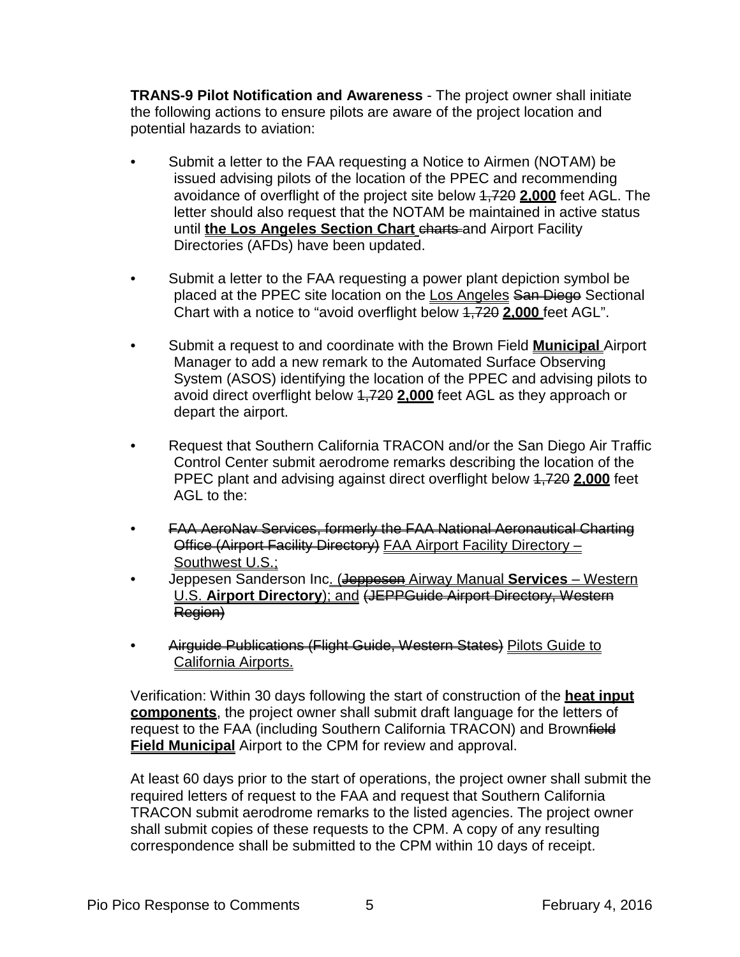**TRANS-9 Pilot Notification and Awareness** - The project owner shall initiate the following actions to ensure pilots are aware of the project location and potential hazards to aviation:

- Submit a letter to the FAA requesting a Notice to Airmen (NOTAM) be issued advising pilots of the location of the PPEC and recommending avoidance of overflight of the project site below 1,720 **2,000** feet AGL. The letter should also request that the NOTAM be maintained in active status until **the Los Angeles Section Chart** charts and Airport Facility Directories (AFDs) have been updated.
- Submit a letter to the FAA requesting a power plant depiction symbol be placed at the PPEC site location on the Los Angeles San Diego Sectional Chart with a notice to "avoid overflight below 1,720 **2,000** feet AGL".
- Submit a request to and coordinate with the Brown Field **Municipal** Airport Manager to add a new remark to the Automated Surface Observing System (ASOS) identifying the location of the PPEC and advising pilots to avoid direct overflight below 1,720 **2,000** feet AGL as they approach or depart the airport.
- Request that Southern California TRACON and/or the San Diego Air Traffic Control Center submit aerodrome remarks describing the location of the PPEC plant and advising against direct overflight below 1,720 **2,000** feet AGL to the:
- FAA AeroNav Services, formerly the FAA National Aeronautical Charting Office (Airport Facility Directory) FAA Airport Facility Directory -Southwest U.S.;
- Jeppesen Sanderson Inc. (Jeppesen Airway Manual **Services** Western U.S. **Airport Directory**); and (JEPPGuide Airport Directory, Western Region)
- Airguide Publications (Flight Guide, Western States) Pilots Guide to California Airports.

Verification: Within 30 days following the start of construction of the **heat input components**, the project owner shall submit draft language for the letters of request to the FAA (including Southern California TRACON) and Brownfield **Field Municipal** Airport to the CPM for review and approval.

At least 60 days prior to the start of operations, the project owner shall submit the required letters of request to the FAA and request that Southern California TRACON submit aerodrome remarks to the listed agencies. The project owner shall submit copies of these requests to the CPM. A copy of any resulting correspondence shall be submitted to the CPM within 10 days of receipt.